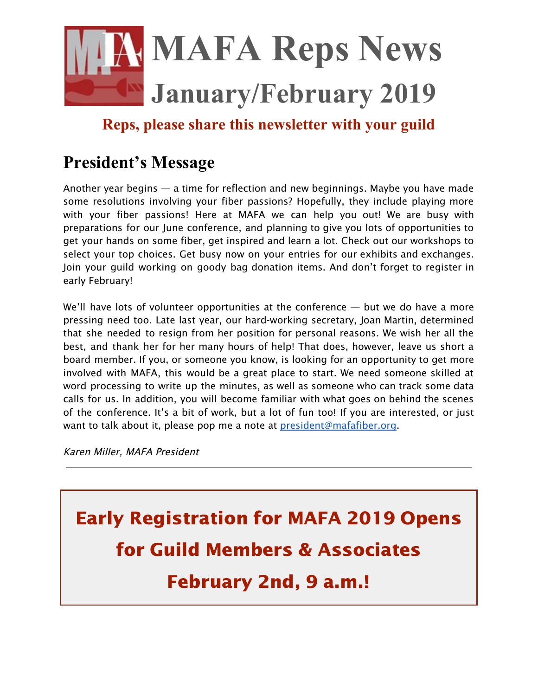

**Reps, please share this newsletter with your guild**

## **President's Message**

Another year begins — a time for reflection and new beginnings. Maybe you have made some resolutions involving your fiber passions? Hopefully, they include playing more with your fiber passions! Here at MAFA we can help you out! We are busy with preparations for our June conference, and planning to give you lots of opportunities to get your hands on some fiber, get inspired and learn a lot. Check out our workshops to select your top choices. Get busy now on your entries for our exhibits and exchanges. Join your guild working on goody bag donation items. And don't forget to register in early February!

We'll have lots of volunteer opportunities at the conference — but we do have a more pressing need too. Late last year, our hard-working secretary, Joan Martin, determined that she needed to resign from her position for personal reasons. We wish her all the best, and thank her for her many hours of help! That does, however, leave us short a board member. If you, or someone you know, is looking for an opportunity to get more involved with MAFA, this would be a great place to start. We need someone skilled at word processing to write up the minutes, as well as someone who can track some data calls for us. In addition, you will become familiar with what goes on behind the scenes of the conference. It's a bit of work, but a lot of fun too! If you are interested, or just want to talk about it, please pop me a note at [president@mafafiber.org.](mailto:president@mafafiber.org)

Karen Miller, MAFA President

Early Registration for MAFA 2019 Opens for Guild Members & Associates February 2nd, 9 a.m.!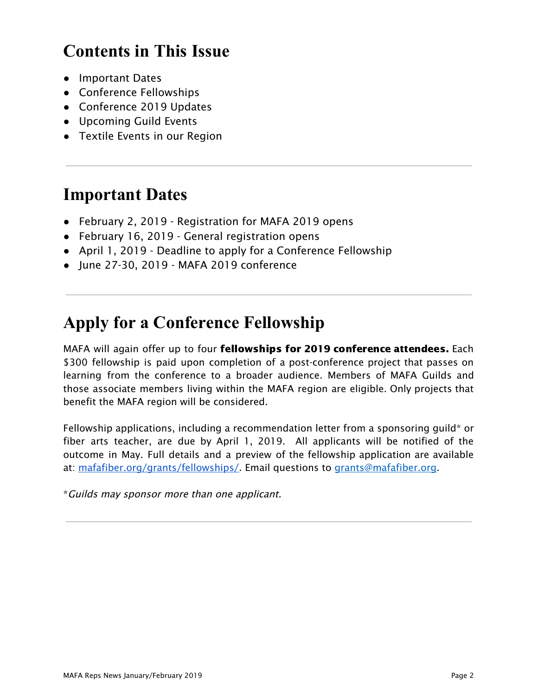# **Contents in This Issue**

- Important Dates
- Conference Fellowships
- Conference 2019 Updates
- Upcoming Guild Events
- Textile Events in our Region

## **Important Dates**

- February 2, 2019 Registration for MAFA 2019 opens
- February 16, 2019 General registration opens
- April 1, 2019 Deadline to apply for a Conference Fellowship
- June 27-30, 2019 MAFA 2019 conference

## **Apply for a Conference Fellowship**

MAFA will again offer up to four fellowships for 2019 conference attendees. Each \$300 fellowship is paid upon completion of a post-conference project that passes on learning from the conference to a broader audience. Members of MAFA Guilds and those associate members living within the MAFA region are eligible. Only projects that benefit the MAFA region will be considered.

Fellowship applications, including a recommendation letter from a sponsoring guild\* or fiber arts teacher, are due by April 1, 2019. All applicants will be notified of the outcome in May. Full details and a preview of the fellowship application are available at: [mafafiber.org/grants/fellowships/](https://mafafiber.org/grants/fellowships/). Email questions to [grants@mafafiber.org](mailto:membership@mafafiber.org).

\*Guilds may sponsor more than one applicant.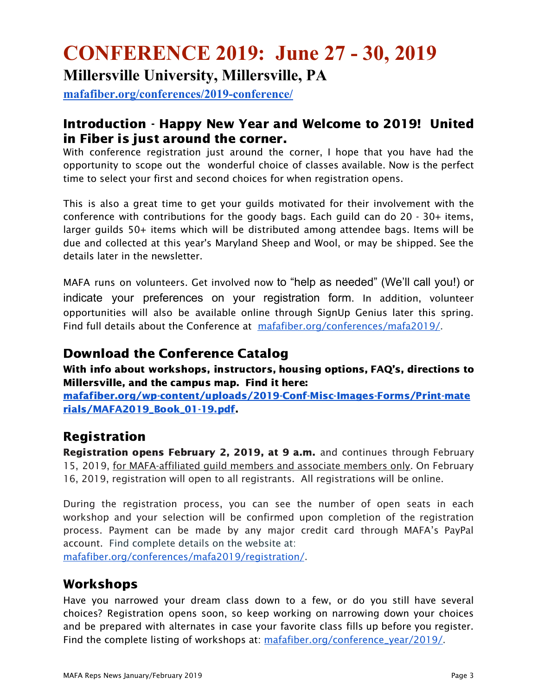# **CONFERENCE 2019: June 27 - 30, 2019 Millersville University, Millersville, PA**

**[mafafiber.org/conferences/2019-conference/](https://mafafiber.org/conferences/2019-conference/)**

## Introduction - Happy New Year and Welcome to 2019! United in Fiber is just around the corner.

With conference registration just around the corner, I hope that you have had the opportunity to scope out the wonderful choice of classes available. Now is the perfect time to select your first and second choices for when registration opens.

This is also a great time to get your guilds motivated for their involvement with the conference with contributions for the goody bags. Each guild can do 20 - 30+ items, larger guilds 50+ items which will be distributed among attendee bags. Items will be due and collected at this year's Maryland Sheep and Wool, or may be shipped. See the details later in the newsletter.

MAFA runs on volunteers. Get involved now to "help as needed" (We'll call you!) or indicate your preferences on your registration form. In addition, volunteer opportunities will also be available online through SignUp Genius later this spring. Find full details about the Conference at [mafafiber.org/conferences/mafa2019/.](https://mafafiber.org/conferences/mafa2019/)

### Download the Conference Catalog

With info about workshops, instructors, housing options, FAQ's, directions to Millersville, and the campus map. Find it here:

[mafafiber.org/wp-content/uploads/2019-Conf-Misc-Images-Forms/Print-mate](https://mafafiber.org/wp-content/uploads/2019-Conf-Misc-Images-Forms/Print-materials/MAFA2019_Book_01-19.pdf) [rials/MAFA2019\\_Book\\_01-19.pdf](https://mafafiber.org/wp-content/uploads/2019-Conf-Misc-Images-Forms/Print-materials/MAFA2019_Book_01-19.pdf).

## Registration

Registration opens February 2, 2019, at 9 a.m. and continues through February 15, 2019, for MAFA-affiliated guild members and associate members only. On February 16, 2019, registration will open to all registrants. All registrations will be online.

During the registration process, you can see the number of open seats in each workshop and your selection will be confirmed upon completion of the registration process. Payment can be made by any major credit card through MAFA's PayPal account. Find complete details on the website at:

[mafafiber.org/conferences/mafa2019/registration/](https://mafafiber.org/conferences/mafa2019/registration/).

## Workshops

Have you narrowed your dream class down to a few, or do you still have several choices? Registration opens soon, so keep working on narrowing down your choices and be prepared with alternates in case your favorite class fills up before you register. Find the complete listing of workshops at: [mafafiber.org/conference\\_year/2019/.](https://mafafiber.org/conference_year/2019/)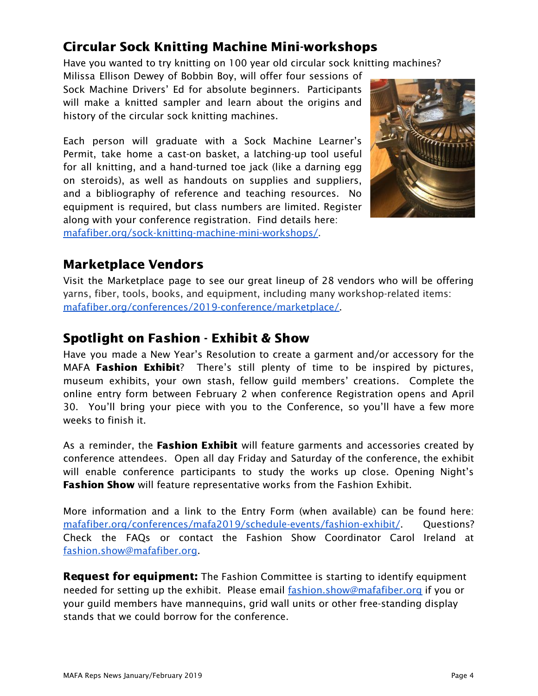## Circular Sock Knitting Machine Mini-workshops

Have you wanted to try knitting on 100 year old circular sock knitting machines?

Milissa Ellison Dewey of Bobbin Boy, will offer four sessions of Sock Machine Drivers' Ed for absolute beginners. Participants will make a knitted sampler and learn about the origins and history of the circular sock knitting machines.

Each person will graduate with a Sock Machine Learner's Permit, take home a cast-on basket, a latching-up tool useful for all knitting, and a hand-turned toe jack (like a darning egg on steroids), as well as handouts on supplies and suppliers, and a bibliography of reference and teaching resources. No equipment is required, but class numbers are limited. Register along with your conference registration. Find details here: [mafafiber.org/sock-knitting-machine-mini-workshops/](https://mafafiber.org/sock-knitting-machine-mini-workshops/).



## Marketplace Vendors

Visit the Marketplace page to see our great lineup of 28 vendors who will be offering yarns, fiber, tools, books, and equipment, including many workshop-related items: [mafafiber.org/conferences/2019-conference/marketplace/](https://mafafiber.org/conferences/2019-conference/marketplace/).

## Spotlight on Fashion - Exhibit & Show

Have you made a New Year's Resolution to create a garment and/or accessory for the MAFA Fashion Exhibit? There's still plenty of time to be inspired by pictures, museum exhibits, your own stash, fellow guild members' creations. Complete the online entry form between February 2 when conference Registration opens and April 30. You'll bring your piece with you to the Conference, so you'll have a few more weeks to finish it.

As a reminder, the Fashion Exhibit will feature garments and accessories created by conference attendees. Open all day Friday and Saturday of the conference, the exhibit will enable conference participants to study the works up close. Opening Night's Fashion Show will feature representative works from the Fashion Exhibit.

More information and a link to the Entry Form (when available) can be found here: [mafafiber.org/conferences/mafa2019/schedule-events/fashion-exhibit/](https://mafafiber.org/conferences/mafa2019/schedule-events/fashion-exhibit/). Questions? Check the FAQs or contact the Fashion Show Coordinator Carol Ireland at [fashion.show@mafafiber.org.](mailto:fashion.show@mafafiber.org)

**Request for equipment:** The Fashion Committee is starting to identify equipment needed for setting up the exhibit. Please email [fashion.show@mafafiber.org](mailto:fashion.show@mafafiber.org) if you or your guild members have mannequins, grid wall units or other free-standing display stands that we could borrow for the conference.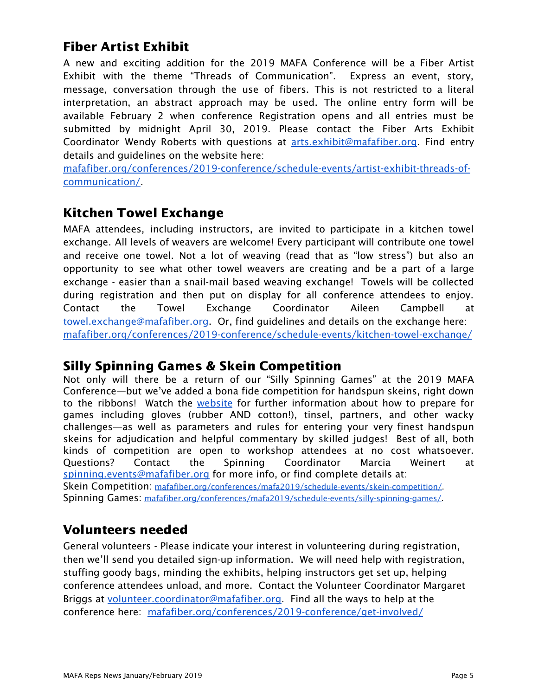## Fiber Artist Exhibit

A new and exciting addition for the 2019 MAFA Conference will be a Fiber Artist Exhibit with the theme "Threads of Communication". Express an event, story, message, conversation through the use of fibers. This is not restricted to a literal interpretation, an abstract approach may be used. The online entry form will be available February 2 when conference Registration opens and all entries must be submitted by midnight April 30, 2019. Please contact the Fiber Arts Exhibit Coordinator Wendy Roberts with questions at [arts.exhibit@mafafiber.org.](mailto:arts.exhibit@mafafiber.org) Find entry details and guidelines on the website here:

[mafafiber.org/conferences/2019-conference/schedule-events/artist-exhibit-threads-of](https://mafafiber.org/conferences/2019-conference/schedule-events/artist-exhibit-threads-of-communication/)[communication/.](https://mafafiber.org/conferences/2019-conference/schedule-events/artist-exhibit-threads-of-communication/)

## Kitchen Towel Exchange

MAFA attendees, including instructors, are invited to participate in a kitchen towel exchange. All levels of weavers are welcome! Every participant will contribute one towel and receive one towel. Not a lot of weaving (read that as "low stress") but also an opportunity to see what other towel weavers are creating and be a part of a large exchange - easier than a snail-mail based weaving exchange! Towels will be collected during registration and then put on display for all conference attendees to enjoy. Contact the Towel Exchange Coordinator Aileen Campbell at [towel.exchange@mafafiber.org.](mailto:towel.exchange@mafafiber.org) Or, find guidelines and details on the exchange here: [mafafiber.org/conferences/2019-conference/schedule-events/kitchen-towel-exchange/](https://mafafiber.org/conferences/2019-conference/schedule-events/kitchen-towel-exchange/)

### Silly Spinning Games & Skein Competition

Not only will there be a return of our "Silly Spinning Games" at the 2019 MAFA Conference—but we've added a bona fide competition for handspun skeins, right down to the ribbons! Watch the [website](https://mafafiber.org/conferences/2019-conference/schedule-events/silly-spinning-games/) for further information about how to prepare for games including gloves (rubber AND cotton!), tinsel, partners, and other wacky challenges—as well as parameters and rules for entering your very finest handspun skeins for adjudication and helpful commentary by skilled judges! Best of all, both kinds of competition are open to workshop attendees at no cost whatsoever. Questions? Contact the Spinning Coordinator Marcia Weinert at [spinning.events@mafafiber.org](mailto:spinning.events@mafafiber.org) for more info, or find complete details at: Skein Competition: [mafafiber.org/conferences/mafa2019/schedule-events/skein-competition/.](https://mafafiber.org/conferences/mafa2019/schedule-events/skein-competition/) Spinning Games: [mafafiber.org/conferences/mafa2019/schedule-events/silly-spinning-games/](https://mafafiber.org/conferences/mafa2019/schedule-events/silly-spinning-games/).

## Volunteers needed

General volunteers - Please indicate your interest in volunteering during registration, then we'll send you detailed sign-up information. We will need help with registration, stuffing goody bags, minding the exhibits, helping instructors get set up, helping conference attendees unload, and more. Contact the Volunteer Coordinator Margaret Briggs at [volunteer.coordinator@mafafiber.org](mailto:volunteer.coordinator@mafafiber.org). Find all the ways to help at the conference here: [mafafiber.org/conferences/2019-conference/get-involved/](https://mafafiber.org/conferences/2019-conference/get-involved/)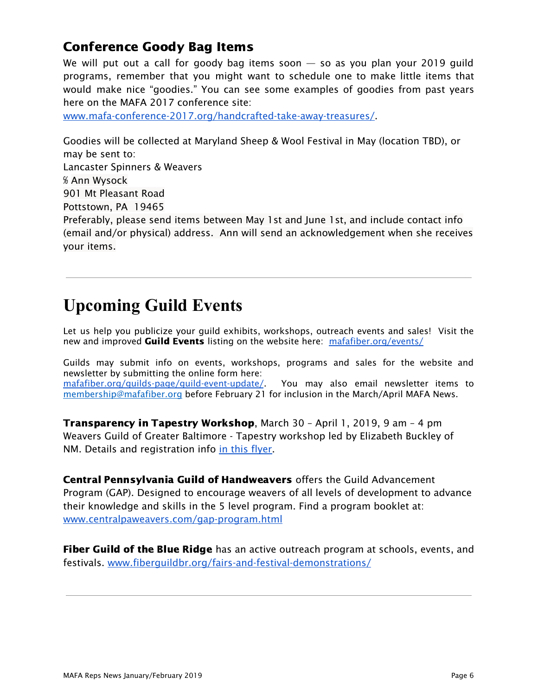## Conference Goody Bag Items

We will put out a call for goody bag items soon  $-$  so as you plan your 2019 guild programs, remember that you might want to schedule one to make little items that would make nice "goodies." You can see some examples of goodies from past years here on the MAFA 2017 conference site:

[www.mafa-conference-2017.org/handcrafted-take-away-treasures/.](http://www.mafa-conference-2017.org/handcrafted-take-away-treasures/)

Goodies will be collected at Maryland Sheep & Wool Festival in May (location TBD), or may be sent to: Lancaster Spinners & Weavers ℅ Ann Wysock 901 Mt Pleasant Road Pottstown, PA 19465 Preferably, please send items between May 1st and June 1st, and include contact info (email and/or physical) address. Ann will send an acknowledgement when she receives your items.

## **Upcoming Guild Events**

Let us help you publicize your guild exhibits, workshops, outreach events and sales! Visit the new and improved Guild Events listing on the website here: [mafafiber.org/events/](https://mafafiber.org/events/)

Guilds may submit info on events, workshops, programs and sales for the website and newsletter by submitting the online form here: [mafafiber.org/guilds-page/guild-event-update/](https://mafafiber.org/guilds-page/guild-event-update/). You may also email newsletter items to [membership@mafafiber.org](mailto:membership@mafafiber.org) before February 21 for inclusion in the March/April MAFA News.

Transparency in Tapestry Workshop, March 30 – April 1, 2019, 9 am – 4 pm Weavers Guild of Greater Baltimore - Tapestry workshop led by Elizabeth Buckley of NM. Details and registration info in this [flyer.](https://mafafiber.org/index.php?gf-download=2018%2F12%2FBuckley-workshop.pdf&form-id=7&field-id=22&hash=02cd19381c54b9c9192a8275f5d753bd4c8ccb11faba88052f6fab0b8825ba31)

Central Pennsylvania Guild of Handweavers offers the Guild Advancement Program (GAP). Designed to encourage weavers of all levels of development to advance their knowledge and skills in the 5 level program. Find a program booklet at: [www.centralpaweavers.com/gap-program.html](http://www.centralpaweavers.com/gap-program.html)

**Fiber Guild of the Blue Ridge** has an active outreach program at schools, events, and festivals. [www.fiberguildbr.org/fairs-and-festival-demonstrations/](https://www.fiberguildbr.org/fairs-and-festival-demonstrations/)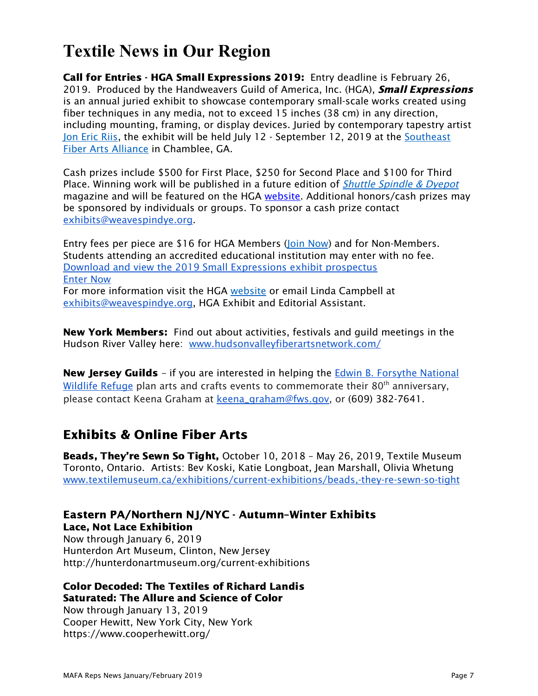# **Textile News in Our Region**

Call for Entries - HGA Small Expressions 2019: Entry deadline is February 26, 2019. Produced by the Handweavers Guild of America, Inc. (HGA), **Small Expressions** is an annual juried exhibit to showcase contemporary small-scale works created using fiber techniques in any media, not to exceed 15 inches (38 cm) in any direction, including mounting, framing, or display devices. Juried by contemporary tapestry artist Jon [Eric](https://jonericriis-studio.com/) Riis, the exhibit will be held July 12 - September 12, 2019 at the [Southeast](http://fiberartsalliance.org/) Fiber Arts [Alliance](http://fiberartsalliance.org/) in Chamblee, GA.

Cash prizes include \$500 for First Place, \$250 for Second Place and \$100 for Third Place. Winning work will be published in a future edition of *Shuttle [Spindle](https://weavespindye.z2systems.com/track//servlet/DisplayLink?orgId=weavespindye&emailId=72edc35ee7a23e93773220d0c6da16d27m395559172e&&linkId=10990&targetUrl=http://www.weavespindye.org/shuttle-spindle-dyepot-magazine) & Dyepot* magazine and will be featured on the HGA [website.](https://weavespindye.z2systems.com/track//servlet/DisplayLink?orgId=weavespindye&emailId=72edc35ee7a23e93773220d0c6da16d27m395559172e&&linkId=10995&targetUrl=http://www.weavespindye.org/small-expressions-2185) Additional honors/cash prizes may be sponsored by individuals or groups. To sponsor a cash prize contact [exhibits@weavespindye.org.](mailto:exhibits@weavespindye.org)

Entry fees per piece are \$16 for HGA Members (Join [Now\)](http://www.weavespindye.org/join) and for Non-Members. Students attending an accredited educational institution may enter with no fee. Download and view the 2019 Small [Expressions](https://weavespindye.z2systems.com/np/viewDocument?orgId=weavespindye&id=4028e48c670c182e0167144eb64f0012) exhibit prospectus [Enter](https://weavespindye.z2systems.com/eventReg.jsp?event=208&) Now For more information visit the HGA [website](http://www.weavespindye.org/small-expressions-2195) or email Linda Campbell at [exhibits@weavespindye.org,](mailto:exhibits@weavespindye.org) HGA Exhibit and Editorial Assistant.

**New York Members:** Find out about activities, festivals and guild meetings in the Hudson River Valley here: [www.hudsonvalleyfiberartsnetwork.com/](http://www.hudsonvalleyfiberartsnetwork.com/)

N[e](https://www.fws.gov/refuge/edwin_b_forsythe/)w Jersey Guilds - if you are interested in helping the Edwin B. [Forsythe](https://www.fws.gov/refuge/edwin_b_forsythe/) National [Wildlife](https://www.fws.gov/refuge/edwin_b_forsythe/) Refuge plan arts and crafts events to commemorate their 80<sup>th</sup> anniversary, please contact Keena Graham at [keena\\_graham@fws.gov,](mailto:keena_graham@fws.gov) or (609) 382-7641.

## Exhibits & Online Fiber Arts

Beads, They're Sewn So Tight, October 10, 2018 – May 26, 2019, Textile Museum Toronto, Ontario. Artists: Bev Koski, Katie Longboat, Jean Marshall, Olivia Whetung [www.textilemuseum.ca/exhibitions/current-exhibitions/beads,-they-re-sewn-so-tight](http://www.textilemuseum.ca/exhibitions/current-exhibitions/beads,-they-re-sewn-so-tight)

#### Eastern PA/Northern NJ/NYC - Autumn–Winter Exhibits Lace, Not Lace Exhibition

Now through January 6, 2019 Hunterdon Art Museum, Clinton, New Jersey http://hunterdonartmuseum.org/current-exhibitions

### Color Decoded: The Textiles of Richard Landis Saturated: The Allure and Science of Color

Now through January 13, 2019 Cooper Hewitt, New York City, New York https://www.cooperhewitt.org/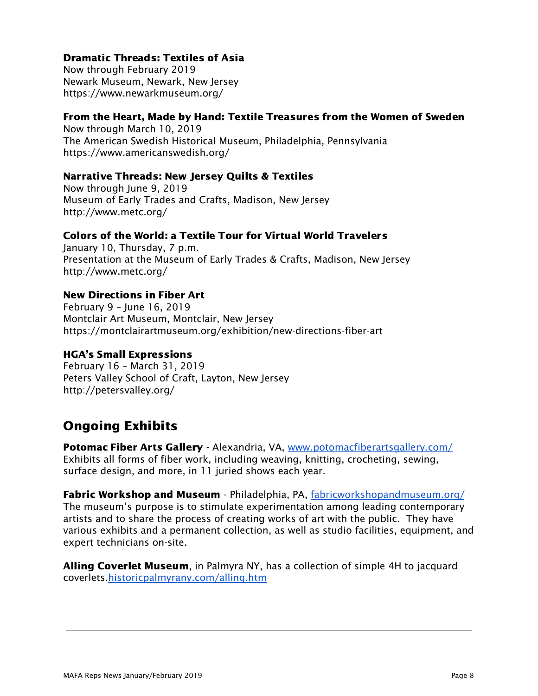### Dramatic Threads: Textiles of Asia

Now through February 2019 Newark Museum, Newark, New Jersey https://www.newarkmuseum.org/

### From the Heart, Made by Hand: Textile Treasures from the Women of Sweden

Now through March 10, 2019 The American Swedish Historical Museum, Philadelphia, Pennsylvania https://www.americanswedish.org/

#### Narrative Threads: New Jersey Quilts & Textiles

Now through June 9, 2019 Museum of Early Trades and Crafts, Madison, New Jersey http://www.metc.org/

### Colors of the World: a Textile Tour for Virtual World Travelers

January 10, Thursday, 7 p.m. Presentation at the Museum of Early Trades & Crafts, Madison, New Jersey http://www.metc.org/

#### New Directions in Fiber Art

February 9 – June 16, 2019 Montclair Art Museum, Montclair, New Jersey https://montclairartmuseum.org/exhibition/new-directions-fiber-art

#### HGA's Small Expressions

February 16 – March 31, 2019 Peters Valley School of Craft, Layton, New Jersey http://petersvalley.org/

## Ongoing Exhibits

Potomac Fiber Arts Gallery - Alexandria, VA, [www.potomacfiberartsgallery.com/](http://www.potomacfiberartsgallery.com/) Exhibits all forms of fiber work, including weaving, knitting, crocheting, sewing, surface design, and more, in 11 juried shows each year.

Fabric Workshop and Museum - Philadelphia, PA, [fabricworkshopandmuseum.org/](http://fabricworkshopandmuseum.org/) The museum's purpose is to stimulate experimentation among leading contemporary artists and to share the process of creating works of art with the public. They have various exhibits and a permanent collection, as well as studio facilities, equipment, and expert technicians on-site.

Alling Coverlet Museum, in Palmyra NY, has a collection of simple 4H to jacquard coverlets[.historicpalmyrany.com/alling.htm](http://historicpalmyrany.com/alling.htm)